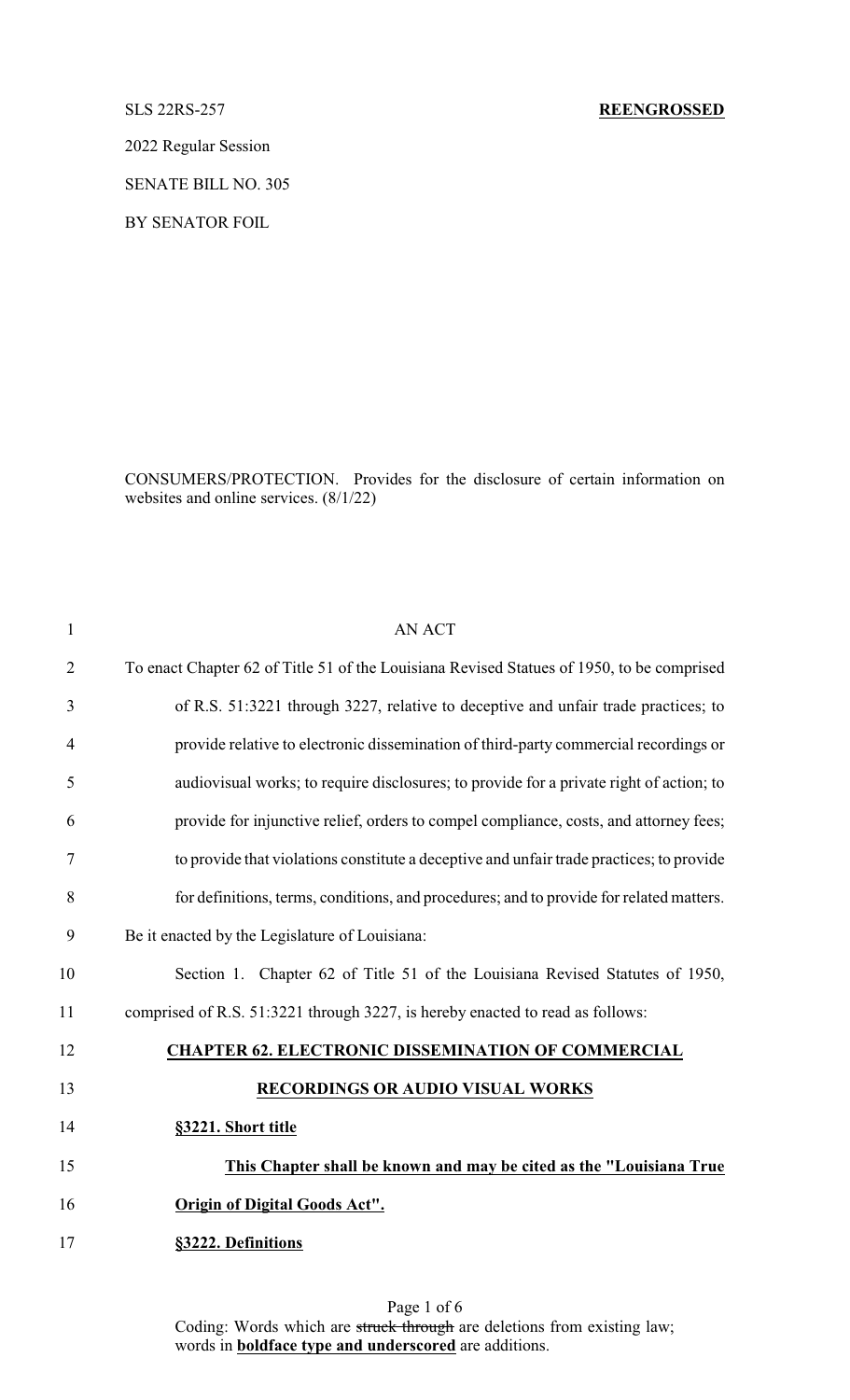2022 Regular Session

SENATE BILL NO. 305

BY SENATOR FOIL

CONSUMERS/PROTECTION. Provides for the disclosure of certain information on websites and online services. (8/1/22)

| $\mathbf{1}$   | <b>AN ACT</b>                                                                             |
|----------------|-------------------------------------------------------------------------------------------|
| $\overline{2}$ | To enact Chapter 62 of Title 51 of the Louisiana Revised Statues of 1950, to be comprised |
| 3              | of R.S. 51:3221 through 3227, relative to deceptive and unfair trade practices; to        |
| 4              | provide relative to electronic dissemination of third-party commercial recordings or      |
| 5              | audiovisual works; to require disclosures; to provide for a private right of action; to   |
| 6              | provide for injunctive relief, orders to compel compliance, costs, and attorney fees;     |
| $\tau$         | to provide that violations constitute a deceptive and unfair trade practices; to provide  |
| 8              | for definitions, terms, conditions, and procedures; and to provide for related matters.   |
| 9              | Be it enacted by the Legislature of Louisiana:                                            |
| 10             | Section 1. Chapter 62 of Title 51 of the Louisiana Revised Statutes of 1950,              |
| 11             | comprised of R.S. 51:3221 through 3227, is hereby enacted to read as follows:             |
| 12             | <b>CHAPTER 62. ELECTRONIC DISSEMINATION OF COMMERCIAL</b>                                 |
| 13             | <b>RECORDINGS OR AUDIO VISUAL WORKS</b>                                                   |
| 14             | §3221. Short title                                                                        |
| 15             | This Chapter shall be known and may be cited as the "Louisiana True                       |
| 16             | <b>Origin of Digital Goods Act".</b>                                                      |
| 17             | §3222. Definitions                                                                        |
|                |                                                                                           |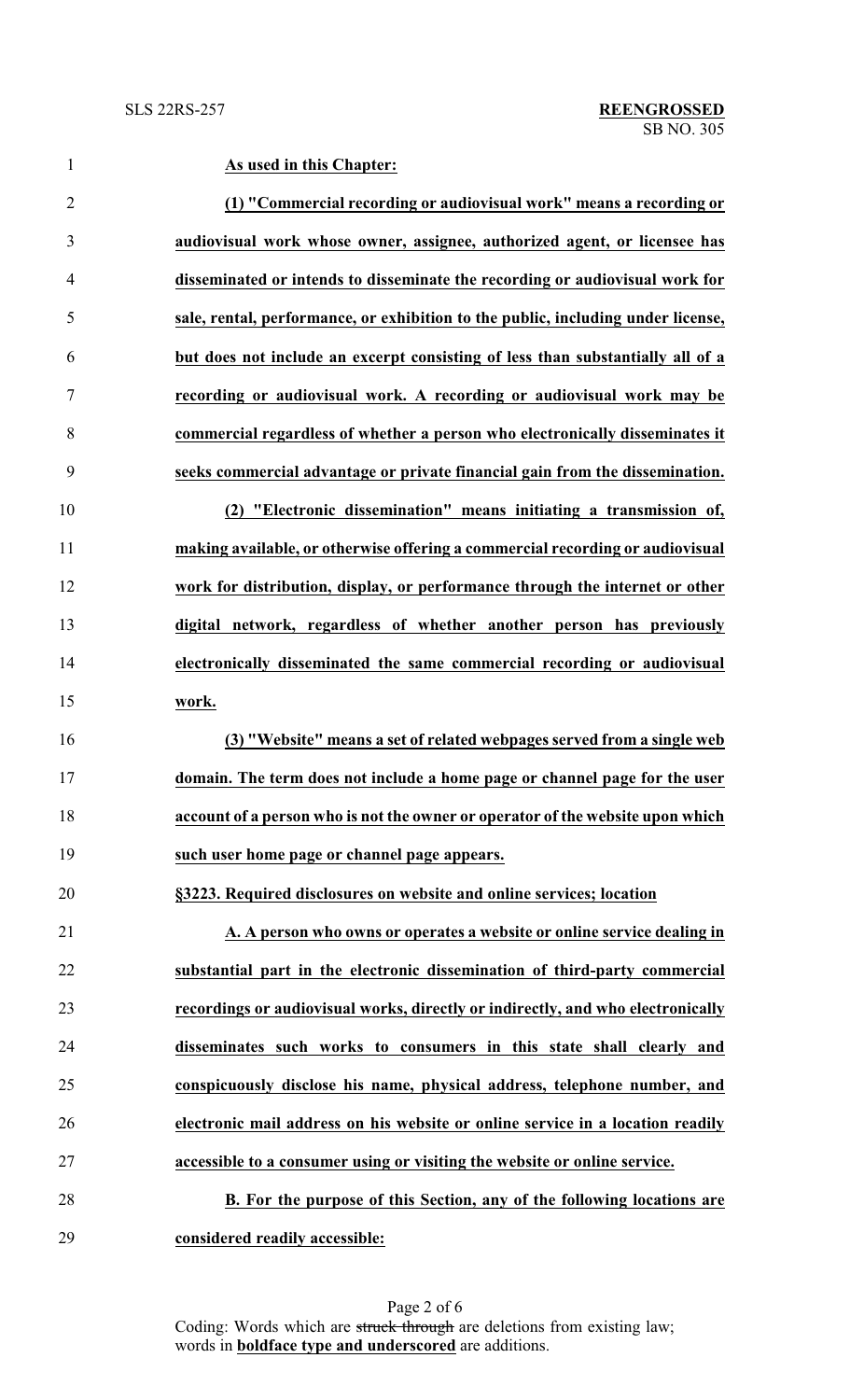**As used in this Chapter: (1) "Commercial recording or audiovisual work" means a recording or audiovisual work whose owner, assignee, authorized agent, or licensee has disseminated or intends to disseminate the recording or audiovisual work for sale, rental, performance, or exhibition to the public, including under license, but does not include an excerpt consisting of less than substantially all of a recording or audiovisual work. A recording or audiovisual work may be commercial regardless of whether a person who electronically disseminates it seeks commercial advantage or private financial gain from the dissemination. (2) "Electronic dissemination" means initiating a transmission of, making available, or otherwise offering a commercial recording or audiovisual work for distribution, display, or performance through the internet or other digital network, regardless of whether another person has previously electronically disseminated the same commercial recording or audiovisual work. (3) "Website" means a set of related webpages served from a single web domain. The term does not include a home page or channel page for the user account of a person who is not the owner or operator of the website upon which such user home page or channel page appears. §3223. Required disclosures on website and online services; location A. A person who owns or operates a website or online service dealing in substantial part in the electronic dissemination of third-party commercial recordings or audiovisual works, directly or indirectly, and who electronically disseminates such works to consumers in this state shall clearly and conspicuously disclose his name, physical address, telephone number, and electronic mail address on his website or online service in a location readily accessible to a consumer using or visiting the website or online service. B. For the purpose of this Section, any of the following locations are**

**considered readily accessible:**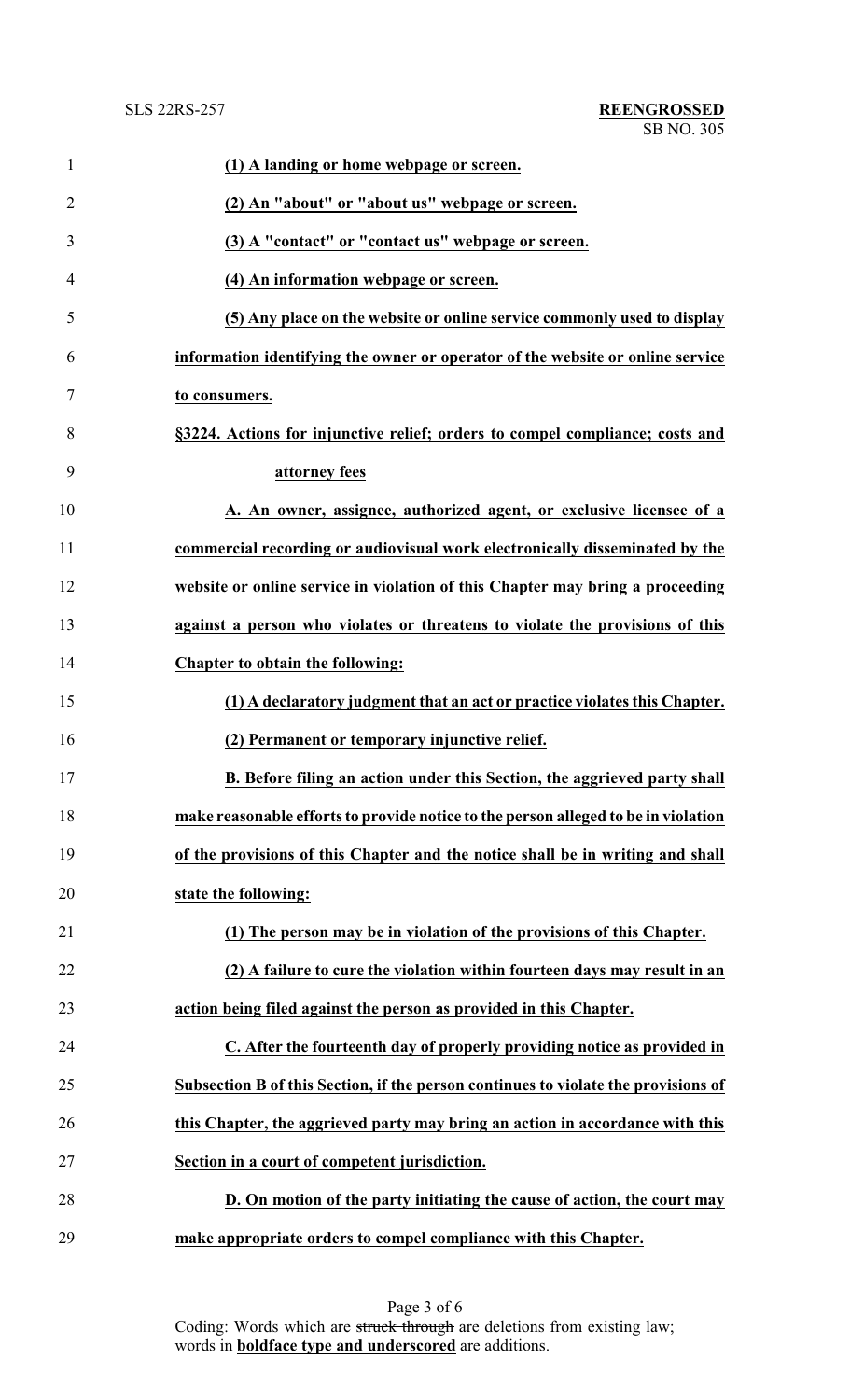| $\mathbf{1}$   | (1) A landing or home webpage or screen.                                           |
|----------------|------------------------------------------------------------------------------------|
| $\overline{2}$ | (2) An "about" or "about us" webpage or screen.                                    |
| 3              | (3) A "contact" or "contact us" webpage or screen.                                 |
| 4              | (4) An information webpage or screen.                                              |
| 5              | (5) Any place on the website or online service commonly used to display            |
| 6              | information identifying the owner or operator of the website or online service     |
| 7              | to consumers.                                                                      |
| 8              | §3224. Actions for injunctive relief; orders to compel compliance; costs and       |
| 9              | attorney fees                                                                      |
| 10             | A. An owner, assignee, authorized agent, or exclusive licensee of a                |
| 11             | commercial recording or audiovisual work electronically disseminated by the        |
| 12             | website or online service in violation of this Chapter may bring a proceeding      |
| 13             | against a person who violates or threatens to violate the provisions of this       |
| 14             | Chapter to obtain the following:                                                   |
| 15             | (1) A declaratory judgment that an act or practice violates this Chapter.          |
| 16             | (2) Permanent or temporary injunctive relief.                                      |
| 17             | B. Before filing an action under this Section, the aggrieved party shall           |
| 18             | make reasonable efforts to provide notice to the person alleged to be in violation |
| 19             | of the provisions of this Chapter and the notice shall be in writing and shall     |
| 20             | state the following:                                                               |
| 21             | (1) The person may be in violation of the provisions of this Chapter.              |
| 22             | (2) A failure to cure the violation within fourteen days may result in an          |
| 23             | action being filed against the person as provided in this Chapter.                 |
| 24             | C. After the fourteenth day of properly providing notice as provided in            |
| 25             | Subsection B of this Section, if the person continues to violate the provisions of |
| 26             | this Chapter, the aggrieved party may bring an action in accordance with this      |
| 27             | Section in a court of competent jurisdiction.                                      |
| 28             | D. On motion of the party initiating the cause of action, the court may            |
| 29             | make appropriate orders to compel compliance with this Chapter.                    |

Page 3 of 6 Coding: Words which are struck through are deletions from existing law; words in **boldface type and underscored** are additions.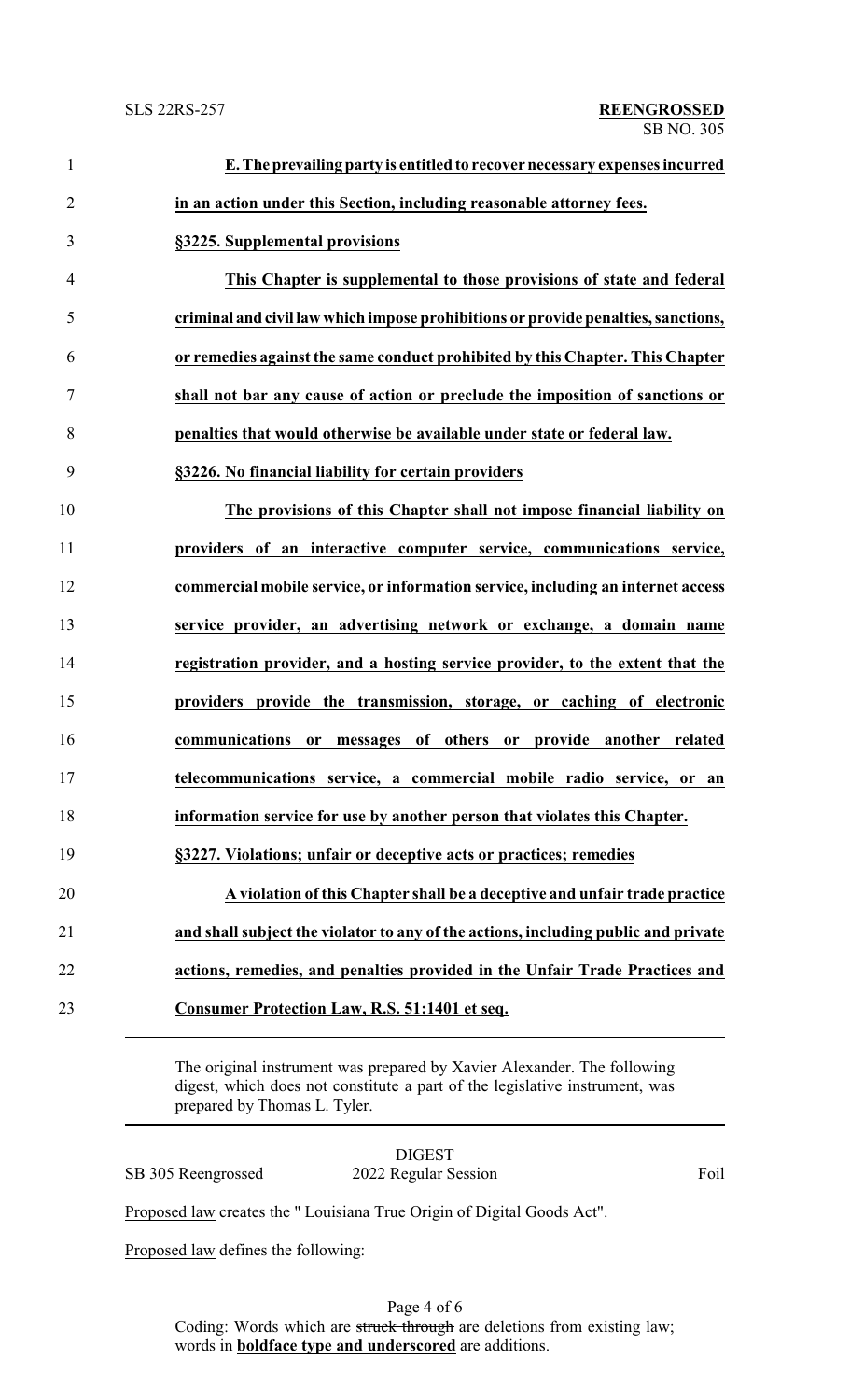| $\mathbf{1}$     | E. The prevailing party is entitled to recover necessary expenses incurred         |
|------------------|------------------------------------------------------------------------------------|
| $\overline{2}$   | in an action under this Section, including reasonable attorney fees.               |
| 3                | §3225. Supplemental provisions                                                     |
| $\overline{4}$   | This Chapter is supplemental to those provisions of state and federal              |
| 5                | criminal and civil law which impose prohibitions or provide penalties, sanctions,  |
| 6                | or remedies against the same conduct prohibited by this Chapter. This Chapter      |
| $\boldsymbol{7}$ | shall not bar any cause of action or preclude the imposition of sanctions or       |
| 8                | penalties that would otherwise be available under state or federal law.            |
| 9                | §3226. No financial liability for certain providers                                |
| 10               | The provisions of this Chapter shall not impose financial liability on             |
| 11               | providers of an interactive computer service, communications service,              |
| 12               | commercial mobile service, or information service, including an internet access    |
| 13               | service provider, an advertising network or exchange, a domain name                |
| 14               | registration provider, and a hosting service provider, to the extent that the      |
| 15               | providers provide the transmission, storage, or caching of electronic              |
| 16               | communications<br>or messages of others or provide another related                 |
| 17               | telecommunications service, a commercial mobile radio service, or an               |
| 18               | information service for use by another person that violates this Chapter.          |
| 19               | §3227. Violations; unfair or deceptive acts or practices; remedies                 |
| 20               | A violation of this Chapter shall be a deceptive and unfair trade practice         |
| 21               | and shall subject the violator to any of the actions, including public and private |
| 22               | actions, remedies, and penalties provided in the Unfair Trade Practices and        |
| 23               | <b>Consumer Protection Law, R.S. 51:1401 et seq.</b>                               |
|                  |                                                                                    |

The original instrument was prepared by Xavier Alexander. The following digest, which does not constitute a part of the legislative instrument, was prepared by Thomas L. Tyler.

|                    | <b>DIGEST</b>        |      |
|--------------------|----------------------|------|
| SB 305 Reengrossed | 2022 Regular Session | Foil |

Proposed law creates the " Louisiana True Origin of Digital Goods Act".

Proposed law defines the following:

Page 4 of 6 Coding: Words which are struck through are deletions from existing law; words in **boldface type and underscored** are additions.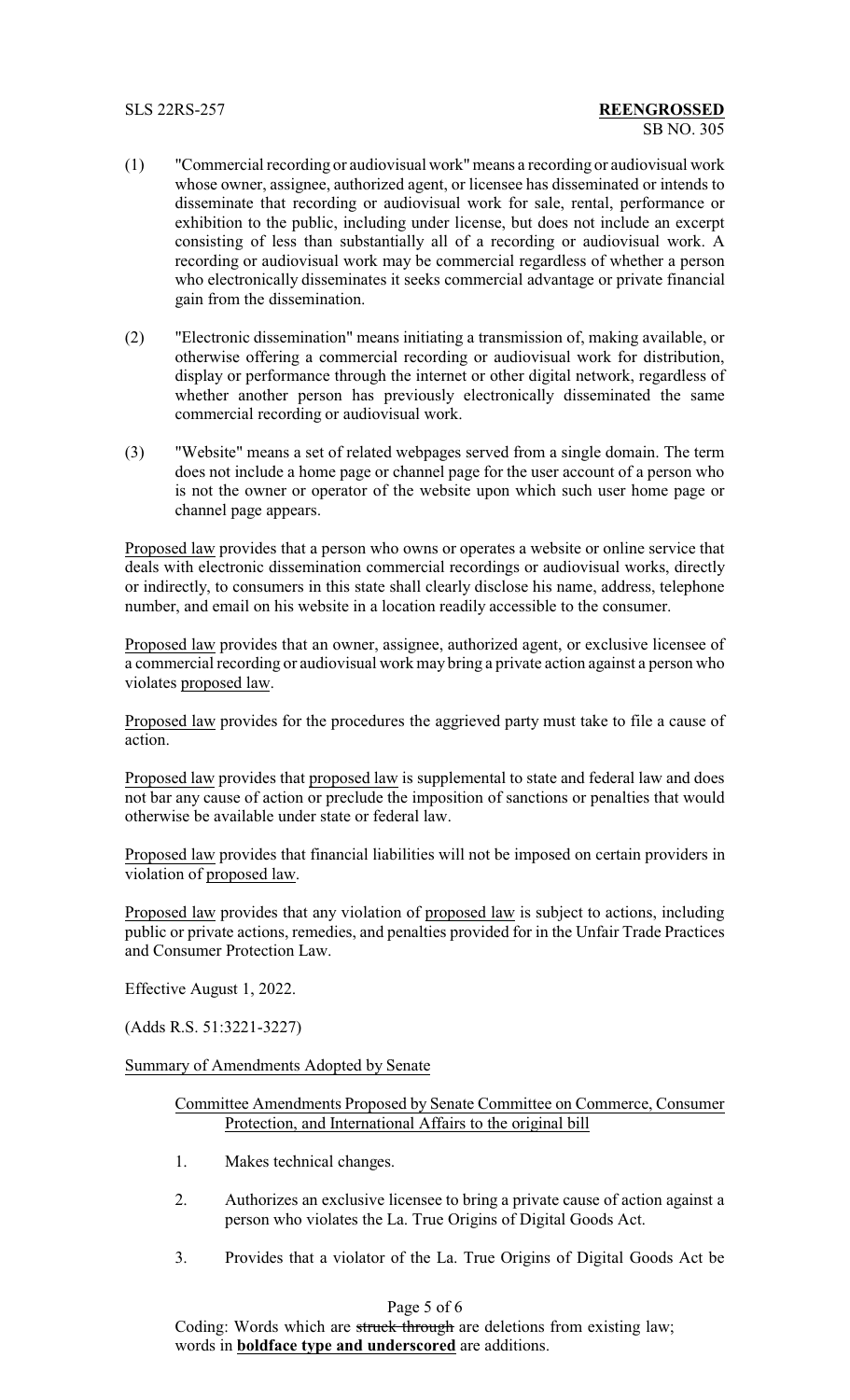- (1) "Commercial recording or audiovisual work"means a recording or audiovisual work whose owner, assignee, authorized agent, or licensee has disseminated or intends to disseminate that recording or audiovisual work for sale, rental, performance or exhibition to the public, including under license, but does not include an excerpt consisting of less than substantially all of a recording or audiovisual work. A recording or audiovisual work may be commercial regardless of whether a person who electronically disseminates it seeks commercial advantage or private financial gain from the dissemination.
- (2) "Electronic dissemination" means initiating a transmission of, making available, or otherwise offering a commercial recording or audiovisual work for distribution, display or performance through the internet or other digital network, regardless of whether another person has previously electronically disseminated the same commercial recording or audiovisual work.
- (3) "Website" means a set of related webpages served from a single domain. The term does not include a home page or channel page for the user account of a person who is not the owner or operator of the website upon which such user home page or channel page appears.

Proposed law provides that a person who owns or operates a website or online service that deals with electronic dissemination commercial recordings or audiovisual works, directly or indirectly, to consumers in this state shall clearly disclose his name, address, telephone number, and email on his website in a location readily accessible to the consumer.

Proposed law provides that an owner, assignee, authorized agent, or exclusive licensee of a commercial recording or audiovisual work may bring a private action against a person who violates proposed law.

Proposed law provides for the procedures the aggrieved party must take to file a cause of action.

Proposed law provides that proposed law is supplemental to state and federal law and does not bar any cause of action or preclude the imposition of sanctions or penalties that would otherwise be available under state or federal law.

Proposed law provides that financial liabilities will not be imposed on certain providers in violation of proposed law.

Proposed law provides that any violation of proposed law is subject to actions, including public or private actions, remedies, and penalties provided for in the Unfair Trade Practices and Consumer Protection Law.

Effective August 1, 2022.

(Adds R.S. 51:3221-3227)

Summary of Amendments Adopted by Senate

- Committee Amendments Proposed by Senate Committee on Commerce, Consumer Protection, and International Affairs to the original bill
- 1. Makes technical changes.
- 2. Authorizes an exclusive licensee to bring a private cause of action against a person who violates the La. True Origins of Digital Goods Act.
- 3. Provides that a violator of the La. True Origins of Digital Goods Act be

## Page 5 of 6

Coding: Words which are struck through are deletions from existing law; words in **boldface type and underscored** are additions.